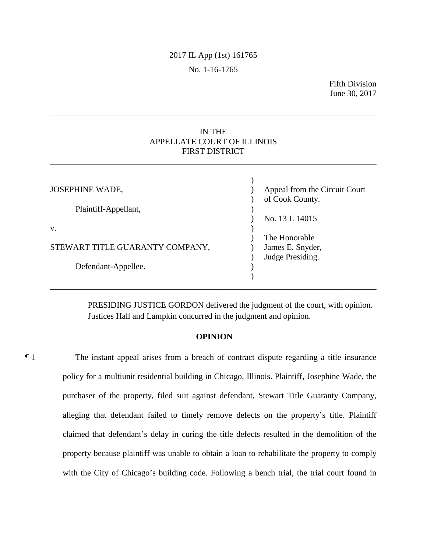# 2017 IL App (1st) 161765 No. 1-16-1765

Fifth Division June 30, 2017

## IN THE APPELLATE COURT OF ILLINOIS FIRST DISTRICT

\_\_\_\_\_\_\_\_\_\_\_\_\_\_\_\_\_\_\_\_\_\_\_\_\_\_\_\_\_\_\_\_\_\_\_\_\_\_\_\_\_\_\_\_\_\_\_\_\_\_\_\_\_\_\_\_\_\_\_\_\_\_\_\_\_\_\_\_\_\_\_\_\_\_\_\_\_\_

\_\_\_\_\_\_\_\_\_\_\_\_\_\_\_\_\_\_\_\_\_\_\_\_\_\_\_\_\_\_\_\_\_\_\_\_\_\_\_\_\_\_\_\_\_\_\_\_\_\_\_\_\_\_\_\_\_\_\_\_\_\_\_\_\_\_\_\_\_\_\_\_\_\_\_\_\_\_

| <b>JOSEPHINE WADE,</b>          | Appeal from the Circuit Court<br>of Cook County. |
|---------------------------------|--------------------------------------------------|
| Plaintiff-Appellant,            | No. 13 L 14015                                   |
| V.                              | The Honorable                                    |
| STEWART TITLE GUARANTY COMPANY, | James E. Snyder,<br>Judge Presiding.             |
| Defendant-Appellee.             |                                                  |

PRESIDING JUSTICE GORDON delivered the judgment of the court, with opinion. Justices Hall and Lampkin concurred in the judgment and opinion.

## **OPINION**

¶ 1 The instant appeal arises from a breach of contract dispute regarding a title insurance policy for a multiunit residential building in Chicago, Illinois. Plaintiff, Josephine Wade, the purchaser of the property, filed suit against defendant, Stewart Title Guaranty Company, alleging that defendant failed to timely remove defects on the property's title. Plaintiff claimed that defendant's delay in curing the title defects resulted in the demolition of the property because plaintiff was unable to obtain a loan to rehabilitate the property to comply with the City of Chicago's building code. Following a bench trial, the trial court found in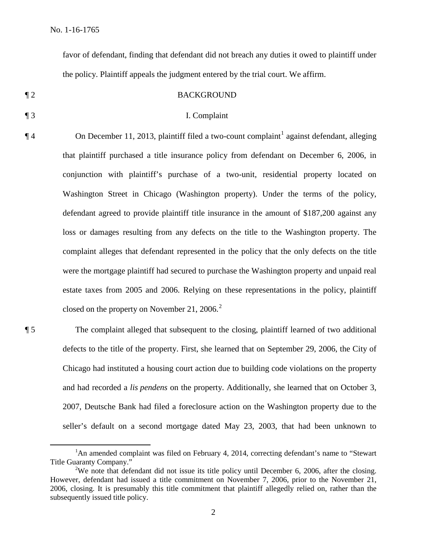favor of defendant, finding that defendant did not breach any duties it owed to plaintiff under the policy. Plaintiff appeals the judgment entered by the trial court. We affirm.

#### ¶ 2 BACKGROUND

#### ¶ 3 I. Complaint

 $\P$  4 On December 11, 2013, plaintiff filed a two-count complaint<sup>1</sup> against defendant, alleging that plaintiff purchased a title insurance policy from defendant on December 6, 2006, in conjunction with plaintiff's purchase of a two-unit, residential property located on Washington Street in Chicago (Washington property). Under the terms of the policy, defendant agreed to provide plaintiff title insurance in the amount of \$187,200 against any loss or damages resulting from any defects on the title to the Washington property. The complaint alleges that defendant represented in the policy that the only defects on the title were the mortgage plaintiff had secured to purchase the Washington property and unpaid real estate taxes from 2005 and 2006. Relying on these representations in the policy, plaintiff closed on the property on November 21, 2006. $^2$ 

¶ 5 The complaint alleged that subsequent to the closing, plaintiff learned of two additional defects to the title of the property. First, she learned that on September 29, 2006, the City of Chicago had instituted a housing court action due to building code violations on the property and had recorded a *lis pendens* on the property. Additionally, she learned that on October 3, 2007, Deutsche Bank had filed a foreclosure action on the Washington property due to the seller's default on a second mortgage dated May 23, 2003, that had been unknown to

 $\overline{\phantom{a}}$  ${}^{1}$ An amended complaint was filed on February 4, 2014, correcting defendant's name to "Stewart" Title Guaranty Company."

<sup>&</sup>lt;sup>2</sup>We note that defendant did not issue its title policy until December 6, 2006, after the closing. However, defendant had issued a title commitment on November 7, 2006, prior to the November 21, 2006, closing. It is presumably this title commitment that plaintiff allegedly relied on, rather than the subsequently issued title policy.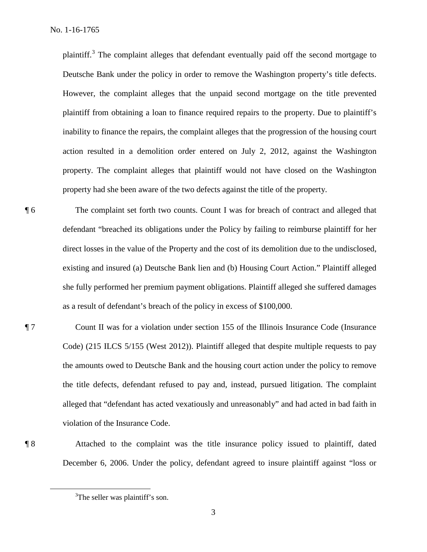plaintiff.<sup>3</sup> The complaint alleges that defendant eventually paid off the second mortgage to Deutsche Bank under the policy in order to remove the Washington property's title defects. However, the complaint alleges that the unpaid second mortgage on the title prevented plaintiff from obtaining a loan to finance required repairs to the property. Due to plaintiff's inability to finance the repairs, the complaint alleges that the progression of the housing court action resulted in a demolition order entered on July 2, 2012, against the Washington property. The complaint alleges that plaintiff would not have closed on the Washington property had she been aware of the two defects against the title of the property.

¶ 6 The complaint set forth two counts. Count I was for breach of contract and alleged that defendant "breached its obligations under the Policy by failing to reimburse plaintiff for her direct losses in the value of the Property and the cost of its demolition due to the undisclosed, existing and insured (a) Deutsche Bank lien and (b) Housing Court Action." Plaintiff alleged she fully performed her premium payment obligations. Plaintiff alleged she suffered damages as a result of defendant's breach of the policy in excess of \$100,000.

¶ 7 Count II was for a violation under section 155 of the Illinois Insurance Code (Insurance Code) (215 ILCS 5/155 (West 2012)). Plaintiff alleged that despite multiple requests to pay the amounts owed to Deutsche Bank and the housing court action under the policy to remove the title defects, defendant refused to pay and, instead, pursued litigation. The complaint alleged that "defendant has acted vexatiously and unreasonably" and had acted in bad faith in violation of the Insurance Code.

¶ 8 Attached to the complaint was the title insurance policy issued to plaintiff, dated December 6, 2006. Under the policy, defendant agreed to insure plaintiff against "loss or

 $\frac{1}{3}$ <sup>3</sup>The seller was plaintiff's son.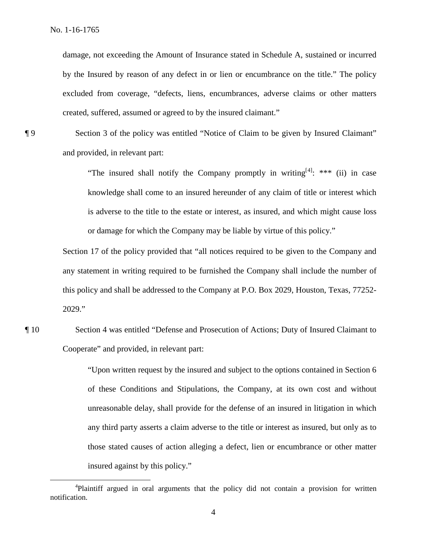damage, not exceeding the Amount of Insurance stated in Schedule A, sustained or incurred by the Insured by reason of any defect in or lien or encumbrance on the title." The policy excluded from coverage, "defects, liens, encumbrances, adverse claims or other matters created, suffered, assumed or agreed to by the insured claimant."

¶ 9 Section 3 of the policy was entitled "Notice of Claim to be given by Insured Claimant" and provided, in relevant part:

> "The insured shall notify the Company promptly in writing  $[4]$ : \*\*\* (ii) in case knowledge shall come to an insured hereunder of any claim of title or interest which is adverse to the title to the estate or interest, as insured, and which might cause loss or damage for which the Company may be liable by virtue of this policy."

Section 17 of the policy provided that "all notices required to be given to the Company and any statement in writing required to be furnished the Company shall include the number of this policy and shall be addressed to the Company at P.O. Box 2029, Houston, Texas, 77252- 2029."

¶ 10 Section 4 was entitled "Defense and Prosecution of Actions; Duty of Insured Claimant to Cooperate" and provided, in relevant part:

> "Upon written request by the insured and subject to the options contained in Section 6 of these Conditions and Stipulations, the Company, at its own cost and without unreasonable delay, shall provide for the defense of an insured in litigation in which any third party asserts a claim adverse to the title or interest as insured, but only as to those stated causes of action alleging a defect, lien or encumbrance or other matter insured against by this policy."

 $\overline{4}$ <sup>4</sup>Plaintiff argued in oral arguments that the policy did not contain a provision for written notification.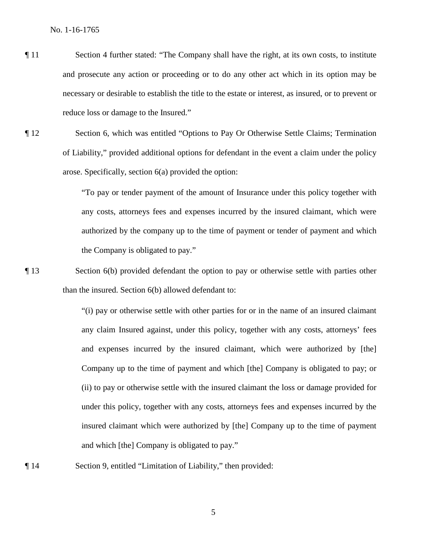- ¶ 11 Section 4 further stated: "The Company shall have the right, at its own costs, to institute and prosecute any action or proceeding or to do any other act which in its option may be necessary or desirable to establish the title to the estate or interest, as insured, or to prevent or reduce loss or damage to the Insured."
- ¶ 12 Section 6, which was entitled "Options to Pay Or Otherwise Settle Claims; Termination of Liability," provided additional options for defendant in the event a claim under the policy arose. Specifically, section 6(a) provided the option:

"To pay or tender payment of the amount of Insurance under this policy together with any costs, attorneys fees and expenses incurred by the insured claimant, which were authorized by the company up to the time of payment or tender of payment and which the Company is obligated to pay."

¶ 13 Section 6(b) provided defendant the option to pay or otherwise settle with parties other than the insured. Section 6(b) allowed defendant to:

> "(i) pay or otherwise settle with other parties for or in the name of an insured claimant any claim Insured against, under this policy, together with any costs, attorneys' fees and expenses incurred by the insured claimant, which were authorized by [the] Company up to the time of payment and which [the] Company is obligated to pay; or (ii) to pay or otherwise settle with the insured claimant the loss or damage provided for under this policy, together with any costs, attorneys fees and expenses incurred by the insured claimant which were authorized by [the] Company up to the time of payment and which [the] Company is obligated to pay."

¶ 14 Section 9, entitled "Limitation of Liability," then provided: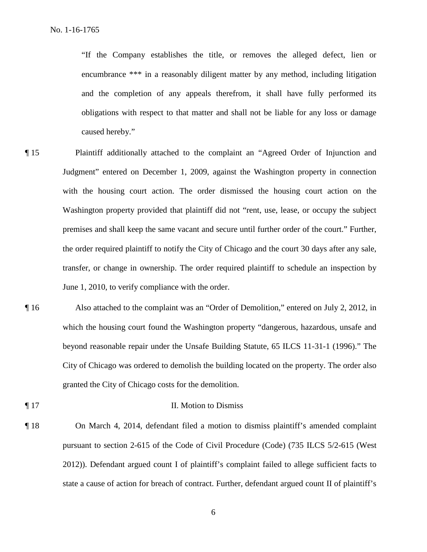"If the Company establishes the title, or removes the alleged defect, lien or encumbrance \*\*\* in a reasonably diligent matter by any method, including litigation and the completion of any appeals therefrom, it shall have fully performed its obligations with respect to that matter and shall not be liable for any loss or damage caused hereby."

- ¶ 15 Plaintiff additionally attached to the complaint an "Agreed Order of Injunction and Judgment" entered on December 1, 2009, against the Washington property in connection with the housing court action. The order dismissed the housing court action on the Washington property provided that plaintiff did not "rent, use, lease, or occupy the subject premises and shall keep the same vacant and secure until further order of the court." Further, the order required plaintiff to notify the City of Chicago and the court 30 days after any sale, transfer, or change in ownership. The order required plaintiff to schedule an inspection by June 1, 2010, to verify compliance with the order.
- ¶ 16 Also attached to the complaint was an "Order of Demolition," entered on July 2, 2012, in which the housing court found the Washington property "dangerous, hazardous, unsafe and beyond reasonable repair under the Unsafe Building Statute, 65 ILCS 11-31-1 (1996)." The City of Chicago was ordered to demolish the building located on the property. The order also granted the City of Chicago costs for the demolition.
- ¶ 17 II. Motion to Dismiss
- 

¶ 18 On March 4, 2014, defendant filed a motion to dismiss plaintiff's amended complaint pursuant to section 2-615 of the Code of Civil Procedure (Code) (735 ILCS 5/2-615 (West 2012)). Defendant argued count I of plaintiff's complaint failed to allege sufficient facts to state a cause of action for breach of contract. Further, defendant argued count II of plaintiff's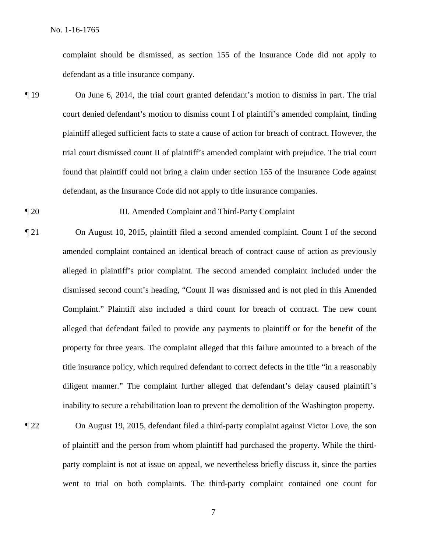complaint should be dismissed, as section 155 of the Insurance Code did not apply to defendant as a title insurance company.

- ¶ 19 On June 6, 2014, the trial court granted defendant's motion to dismiss in part. The trial court denied defendant's motion to dismiss count I of plaintiff's amended complaint, finding plaintiff alleged sufficient facts to state a cause of action for breach of contract. However, the trial court dismissed count II of plaintiff's amended complaint with prejudice. The trial court found that plaintiff could not bring a claim under section 155 of the Insurance Code against defendant, as the Insurance Code did not apply to title insurance companies.
- ¶ 20 III. Amended Complaint and Third-Party Complaint
- ¶ 21 On August 10, 2015, plaintiff filed a second amended complaint. Count I of the second amended complaint contained an identical breach of contract cause of action as previously alleged in plaintiff's prior complaint. The second amended complaint included under the dismissed second count's heading, "Count II was dismissed and is not pled in this Amended Complaint." Plaintiff also included a third count for breach of contract. The new count alleged that defendant failed to provide any payments to plaintiff or for the benefit of the property for three years. The complaint alleged that this failure amounted to a breach of the title insurance policy, which required defendant to correct defects in the title "in a reasonably diligent manner." The complaint further alleged that defendant's delay caused plaintiff's inability to secure a rehabilitation loan to prevent the demolition of the Washington property.
- 

¶ 22 On August 19, 2015, defendant filed a third-party complaint against Victor Love, the son of plaintiff and the person from whom plaintiff had purchased the property. While the thirdparty complaint is not at issue on appeal, we nevertheless briefly discuss it, since the parties went to trial on both complaints. The third-party complaint contained one count for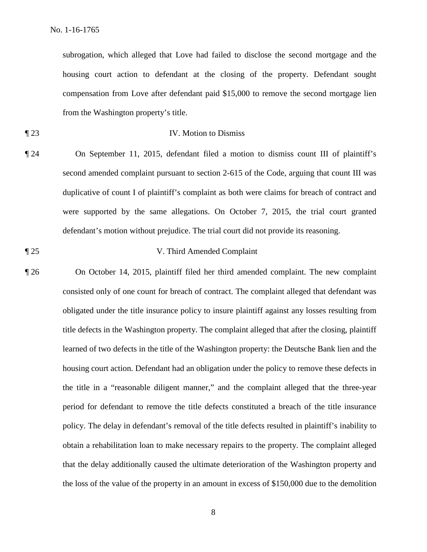subrogation, which alleged that Love had failed to disclose the second mortgage and the housing court action to defendant at the closing of the property. Defendant sought compensation from Love after defendant paid \$15,000 to remove the second mortgage lien from the Washington property's title.

## ¶ 23 IV. Motion to Dismiss

¶ 24 On September 11, 2015, defendant filed a motion to dismiss count III of plaintiff's second amended complaint pursuant to section 2-615 of the Code, arguing that count III was duplicative of count I of plaintiff's complaint as both were claims for breach of contract and were supported by the same allegations. On October 7, 2015, the trial court granted defendant's motion without prejudice. The trial court did not provide its reasoning.

$$
\P 25
$$

## V. Third Amended Complaint

¶ 26 On October 14, 2015, plaintiff filed her third amended complaint. The new complaint consisted only of one count for breach of contract. The complaint alleged that defendant was obligated under the title insurance policy to insure plaintiff against any losses resulting from title defects in the Washington property. The complaint alleged that after the closing, plaintiff learned of two defects in the title of the Washington property: the Deutsche Bank lien and the housing court action. Defendant had an obligation under the policy to remove these defects in the title in a "reasonable diligent manner," and the complaint alleged that the three-year period for defendant to remove the title defects constituted a breach of the title insurance policy. The delay in defendant's removal of the title defects resulted in plaintiff's inability to obtain a rehabilitation loan to make necessary repairs to the property. The complaint alleged that the delay additionally caused the ultimate deterioration of the Washington property and the loss of the value of the property in an amount in excess of \$150,000 due to the demolition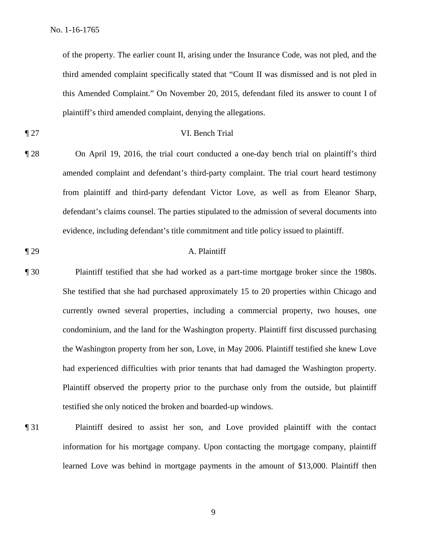of the property. The earlier count II, arising under the Insurance Code, was not pled, and the third amended complaint specifically stated that "Count II was dismissed and is not pled in this Amended Complaint." On November 20, 2015, defendant filed its answer to count I of plaintiff's third amended complaint, denying the allegations.

## ¶ 27 VI. Bench Trial

- ¶ 28 On April 19, 2016, the trial court conducted a one-day bench trial on plaintiff's third amended complaint and defendant's third-party complaint. The trial court heard testimony from plaintiff and third-party defendant Victor Love, as well as from Eleanor Sharp, defendant's claims counsel. The parties stipulated to the admission of several documents into evidence, including defendant's title commitment and title policy issued to plaintiff.
- ¶ 29 A. Plaintiff
- ¶ 30 Plaintiff testified that she had worked as a part-time mortgage broker since the 1980s. She testified that she had purchased approximately 15 to 20 properties within Chicago and currently owned several properties, including a commercial property, two houses, one condominium, and the land for the Washington property. Plaintiff first discussed purchasing the Washington property from her son, Love, in May 2006. Plaintiff testified she knew Love had experienced difficulties with prior tenants that had damaged the Washington property. Plaintiff observed the property prior to the purchase only from the outside, but plaintiff testified she only noticed the broken and boarded-up windows.
- ¶ 31 Plaintiff desired to assist her son, and Love provided plaintiff with the contact information for his mortgage company. Upon contacting the mortgage company, plaintiff learned Love was behind in mortgage payments in the amount of \$13,000. Plaintiff then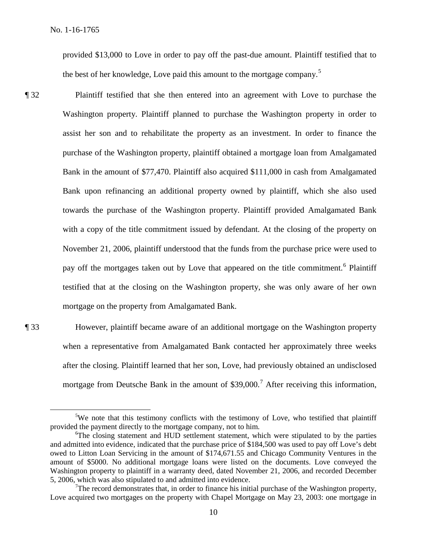provided \$13,000 to Love in order to pay off the past-due amount. Plaintiff testified that to the best of her knowledge, Love paid this amount to the mortgage company.<sup>5</sup>

¶ 32 Plaintiff testified that she then entered into an agreement with Love to purchase the Washington property. Plaintiff planned to purchase the Washington property in order to assist her son and to rehabilitate the property as an investment. In order to finance the purchase of the Washington property, plaintiff obtained a mortgage loan from Amalgamated Bank in the amount of \$77,470. Plaintiff also acquired \$111,000 in cash from Amalgamated Bank upon refinancing an additional property owned by plaintiff, which she also used towards the purchase of the Washington property. Plaintiff provided Amalgamated Bank with a copy of the title commitment issued by defendant. At the closing of the property on November 21, 2006, plaintiff understood that the funds from the purchase price were used to pay off the mortgages taken out by Love that appeared on the title commitment.<sup>6</sup> Plaintiff testified that at the closing on the Washington property, she was only aware of her own mortgage on the property from Amalgamated Bank.

¶ 33 However, plaintiff became aware of an additional mortgage on the Washington property when a representative from Amalgamated Bank contacted her approximately three weeks after the closing. Plaintiff learned that her son, Love, had previously obtained an undisclosed mortgage from Deutsche Bank in the amount of  $$39,000<sup>7</sup>$  After receiving this information,

 $\frac{1}{5}$ <sup>5</sup>We note that this testimony conflicts with the testimony of Love, who testified that plaintiff provided the payment directly to the mortgage company, not to him.

<sup>&</sup>lt;sup>6</sup>The closing statement and HUD settlement statement, which were stipulated to by the parties and admitted into evidence, indicated that the purchase price of \$184,500 was used to pay off Love's debt owed to Litton Loan Servicing in the amount of \$174,671.55 and Chicago Community Ventures in the amount of \$5000. No additional mortgage loans were listed on the documents. Love conveyed the Washington property to plaintiff in a warranty deed, dated November 21, 2006, and recorded December 5, 2006, which was also stipulated to and admitted into evidence.

 $7$ The record demonstrates that, in order to finance his initial purchase of the Washington property, Love acquired two mortgages on the property with Chapel Mortgage on May 23, 2003: one mortgage in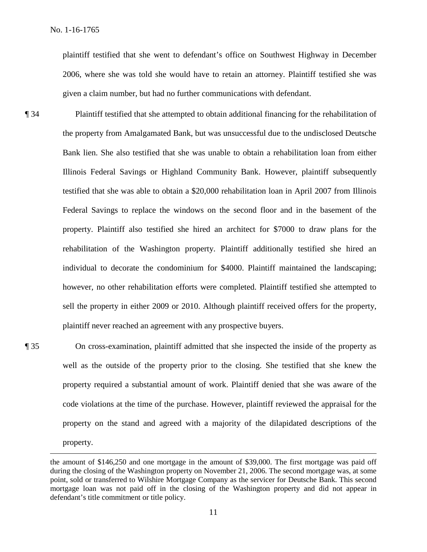plaintiff testified that she went to defendant's office on Southwest Highway in December 2006, where she was told she would have to retain an attorney. Plaintiff testified she was given a claim number, but had no further communications with defendant.

¶ 34 Plaintiff testified that she attempted to obtain additional financing for the rehabilitation of the property from Amalgamated Bank, but was unsuccessful due to the undisclosed Deutsche Bank lien. She also testified that she was unable to obtain a rehabilitation loan from either Illinois Federal Savings or Highland Community Bank. However, plaintiff subsequently testified that she was able to obtain a \$20,000 rehabilitation loan in April 2007 from Illinois Federal Savings to replace the windows on the second floor and in the basement of the property. Plaintiff also testified she hired an architect for \$7000 to draw plans for the rehabilitation of the Washington property. Plaintiff additionally testified she hired an individual to decorate the condominium for \$4000. Plaintiff maintained the landscaping; however, no other rehabilitation efforts were completed. Plaintiff testified she attempted to sell the property in either 2009 or 2010. Although plaintiff received offers for the property, plaintiff never reached an agreement with any prospective buyers.

 $\overline{a}$ 

¶ 35 On cross-examination, plaintiff admitted that she inspected the inside of the property as well as the outside of the property prior to the closing. She testified that she knew the property required a substantial amount of work. Plaintiff denied that she was aware of the code violations at the time of the purchase. However, plaintiff reviewed the appraisal for the property on the stand and agreed with a majority of the dilapidated descriptions of the property.

the amount of \$146,250 and one mortgage in the amount of \$39,000. The first mortgage was paid off during the closing of the Washington property on November 21, 2006. The second mortgage was, at some point, sold or transferred to Wilshire Mortgage Company as the servicer for Deutsche Bank. This second mortgage loan was not paid off in the closing of the Washington property and did not appear in defendant's title commitment or title policy.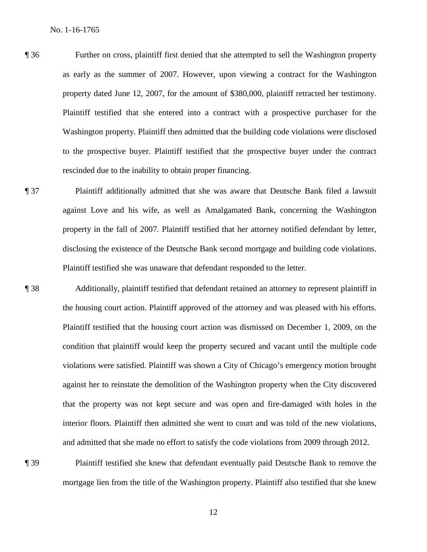- ¶ 36 Further on cross, plaintiff first denied that she attempted to sell the Washington property as early as the summer of 2007. However, upon viewing a contract for the Washington property dated June 12, 2007, for the amount of \$380,000, plaintiff retracted her testimony. Plaintiff testified that she entered into a contract with a prospective purchaser for the Washington property. Plaintiff then admitted that the building code violations were disclosed to the prospective buyer. Plaintiff testified that the prospective buyer under the contract rescinded due to the inability to obtain proper financing.
- ¶ 37 Plaintiff additionally admitted that she was aware that Deutsche Bank filed a lawsuit against Love and his wife, as well as Amalgamated Bank, concerning the Washington property in the fall of 2007. Plaintiff testified that her attorney notified defendant by letter, disclosing the existence of the Deutsche Bank second mortgage and building code violations. Plaintiff testified she was unaware that defendant responded to the letter.
- ¶ 38 Additionally, plaintiff testified that defendant retained an attorney to represent plaintiff in the housing court action. Plaintiff approved of the attorney and was pleased with his efforts. Plaintiff testified that the housing court action was dismissed on December 1, 2009, on the condition that plaintiff would keep the property secured and vacant until the multiple code violations were satisfied. Plaintiff was shown a City of Chicago's emergency motion brought against her to reinstate the demolition of the Washington property when the City discovered that the property was not kept secure and was open and fire-damaged with holes in the interior floors. Plaintiff then admitted she went to court and was told of the new violations, and admitted that she made no effort to satisfy the code violations from 2009 through 2012.
- ¶ 39 Plaintiff testified she knew that defendant eventually paid Deutsche Bank to remove the mortgage lien from the title of the Washington property. Plaintiff also testified that she knew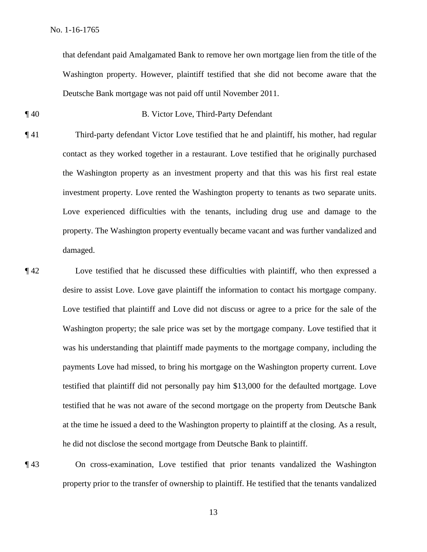that defendant paid Amalgamated Bank to remove her own mortgage lien from the title of the Washington property. However, plaintiff testified that she did not become aware that the Deutsche Bank mortgage was not paid off until November 2011.

- ¶ 40 B. Victor Love, Third-Party Defendant
- ¶ 41 Third-party defendant Victor Love testified that he and plaintiff, his mother, had regular contact as they worked together in a restaurant. Love testified that he originally purchased the Washington property as an investment property and that this was his first real estate investment property. Love rented the Washington property to tenants as two separate units. Love experienced difficulties with the tenants, including drug use and damage to the property. The Washington property eventually became vacant and was further vandalized and damaged.
- ¶ 42 Love testified that he discussed these difficulties with plaintiff, who then expressed a desire to assist Love. Love gave plaintiff the information to contact his mortgage company. Love testified that plaintiff and Love did not discuss or agree to a price for the sale of the Washington property; the sale price was set by the mortgage company. Love testified that it was his understanding that plaintiff made payments to the mortgage company, including the payments Love had missed, to bring his mortgage on the Washington property current. Love testified that plaintiff did not personally pay him \$13,000 for the defaulted mortgage. Love testified that he was not aware of the second mortgage on the property from Deutsche Bank at the time he issued a deed to the Washington property to plaintiff at the closing. As a result, he did not disclose the second mortgage from Deutsche Bank to plaintiff.

¶ 43 On cross-examination, Love testified that prior tenants vandalized the Washington property prior to the transfer of ownership to plaintiff. He testified that the tenants vandalized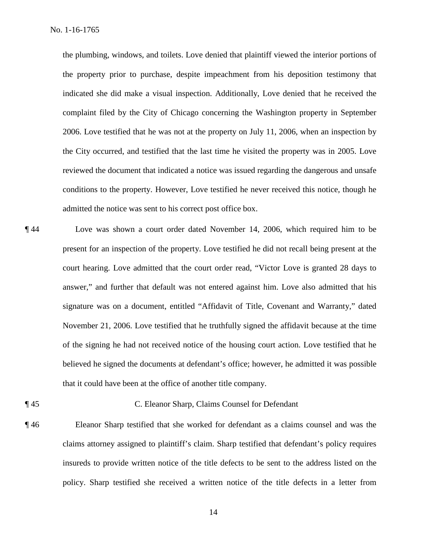the plumbing, windows, and toilets. Love denied that plaintiff viewed the interior portions of the property prior to purchase, despite impeachment from his deposition testimony that indicated she did make a visual inspection. Additionally, Love denied that he received the complaint filed by the City of Chicago concerning the Washington property in September 2006. Love testified that he was not at the property on July 11, 2006, when an inspection by the City occurred, and testified that the last time he visited the property was in 2005. Love reviewed the document that indicated a notice was issued regarding the dangerous and unsafe conditions to the property. However, Love testified he never received this notice, though he admitted the notice was sent to his correct post office box.

¶ 44 Love was shown a court order dated November 14, 2006, which required him to be present for an inspection of the property. Love testified he did not recall being present at the court hearing. Love admitted that the court order read, "Victor Love is granted 28 days to answer," and further that default was not entered against him. Love also admitted that his signature was on a document, entitled "Affidavit of Title, Covenant and Warranty," dated November 21, 2006. Love testified that he truthfully signed the affidavit because at the time of the signing he had not received notice of the housing court action. Love testified that he believed he signed the documents at defendant's office; however, he admitted it was possible that it could have been at the office of another title company.

## ¶ 45 C. Eleanor Sharp, Claims Counsel for Defendant

¶ 46 Eleanor Sharp testified that she worked for defendant as a claims counsel and was the claims attorney assigned to plaintiff's claim. Sharp testified that defendant's policy requires insureds to provide written notice of the title defects to be sent to the address listed on the policy. Sharp testified she received a written notice of the title defects in a letter from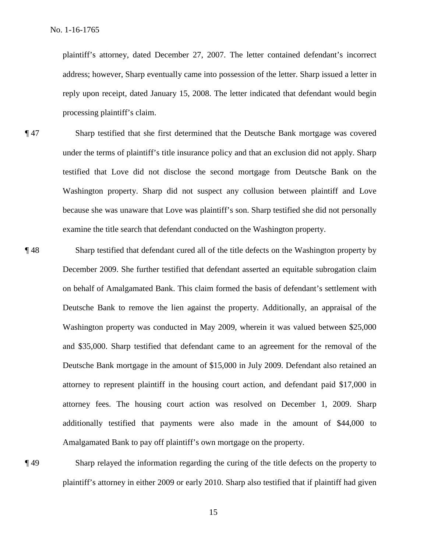plaintiff's attorney, dated December 27, 2007. The letter contained defendant's incorrect address; however, Sharp eventually came into possession of the letter. Sharp issued a letter in reply upon receipt, dated January 15, 2008. The letter indicated that defendant would begin processing plaintiff's claim.

- ¶ 47 Sharp testified that she first determined that the Deutsche Bank mortgage was covered under the terms of plaintiff's title insurance policy and that an exclusion did not apply. Sharp testified that Love did not disclose the second mortgage from Deutsche Bank on the Washington property. Sharp did not suspect any collusion between plaintiff and Love because she was unaware that Love was plaintiff's son. Sharp testified she did not personally examine the title search that defendant conducted on the Washington property.
- ¶ 48 Sharp testified that defendant cured all of the title defects on the Washington property by December 2009. She further testified that defendant asserted an equitable subrogation claim on behalf of Amalgamated Bank. This claim formed the basis of defendant's settlement with Deutsche Bank to remove the lien against the property. Additionally, an appraisal of the Washington property was conducted in May 2009, wherein it was valued between \$25,000 and \$35,000. Sharp testified that defendant came to an agreement for the removal of the Deutsche Bank mortgage in the amount of \$15,000 in July 2009. Defendant also retained an attorney to represent plaintiff in the housing court action, and defendant paid \$17,000 in attorney fees. The housing court action was resolved on December 1, 2009. Sharp additionally testified that payments were also made in the amount of \$44,000 to Amalgamated Bank to pay off plaintiff's own mortgage on the property.
- 

¶ 49 Sharp relayed the information regarding the curing of the title defects on the property to plaintiff's attorney in either 2009 or early 2010. Sharp also testified that if plaintiff had given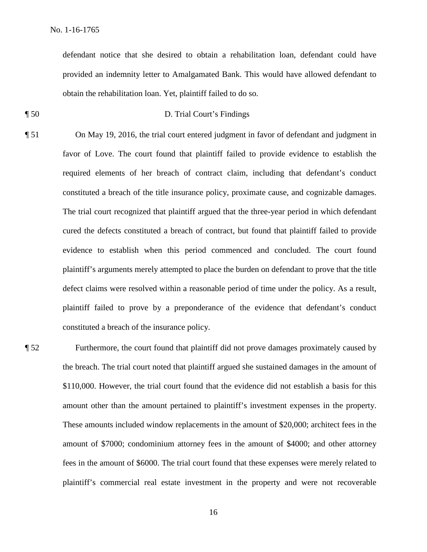defendant notice that she desired to obtain a rehabilitation loan, defendant could have provided an indemnity letter to Amalgamated Bank. This would have allowed defendant to obtain the rehabilitation loan. Yet, plaintiff failed to do so.

- ¶ 50 D. Trial Court's Findings
- ¶ 51 On May 19, 2016, the trial court entered judgment in favor of defendant and judgment in favor of Love. The court found that plaintiff failed to provide evidence to establish the required elements of her breach of contract claim, including that defendant's conduct constituted a breach of the title insurance policy, proximate cause, and cognizable damages. The trial court recognized that plaintiff argued that the three-year period in which defendant cured the defects constituted a breach of contract, but found that plaintiff failed to provide evidence to establish when this period commenced and concluded. The court found plaintiff's arguments merely attempted to place the burden on defendant to prove that the title defect claims were resolved within a reasonable period of time under the policy. As a result, plaintiff failed to prove by a preponderance of the evidence that defendant's conduct constituted a breach of the insurance policy.
- ¶ 52 Furthermore, the court found that plaintiff did not prove damages proximately caused by the breach. The trial court noted that plaintiff argued she sustained damages in the amount of \$110,000. However, the trial court found that the evidence did not establish a basis for this amount other than the amount pertained to plaintiff's investment expenses in the property. These amounts included window replacements in the amount of \$20,000; architect fees in the amount of \$7000; condominium attorney fees in the amount of \$4000; and other attorney fees in the amount of \$6000. The trial court found that these expenses were merely related to plaintiff's commercial real estate investment in the property and were not recoverable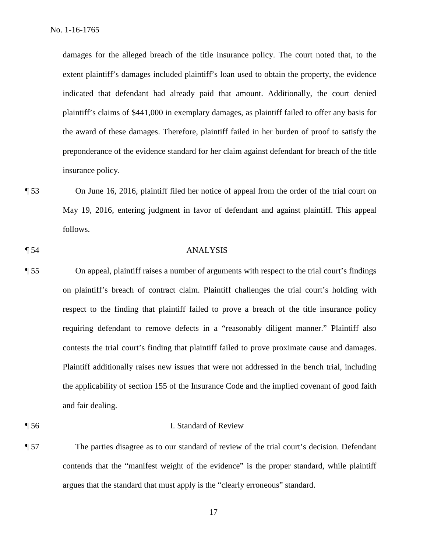damages for the alleged breach of the title insurance policy. The court noted that, to the extent plaintiff's damages included plaintiff's loan used to obtain the property, the evidence indicated that defendant had already paid that amount. Additionally, the court denied plaintiff's claims of \$441,000 in exemplary damages, as plaintiff failed to offer any basis for the award of these damages. Therefore, plaintiff failed in her burden of proof to satisfy the preponderance of the evidence standard for her claim against defendant for breach of the title insurance policy.

- ¶ 53 On June 16, 2016, plaintiff filed her notice of appeal from the order of the trial court on May 19, 2016, entering judgment in favor of defendant and against plaintiff. This appeal follows.
- 

## ¶ 54 ANALYSIS

- ¶ 55 On appeal, plaintiff raises a number of arguments with respect to the trial court's findings on plaintiff's breach of contract claim. Plaintiff challenges the trial court's holding with respect to the finding that plaintiff failed to prove a breach of the title insurance policy requiring defendant to remove defects in a "reasonably diligent manner." Plaintiff also contests the trial court's finding that plaintiff failed to prove proximate cause and damages. Plaintiff additionally raises new issues that were not addressed in the bench trial, including the applicability of section 155 of the Insurance Code and the implied covenant of good faith and fair dealing.
- ¶ 56 I. Standard of Review
- ¶ 57 The parties disagree as to our standard of review of the trial court's decision. Defendant contends that the "manifest weight of the evidence" is the proper standard, while plaintiff argues that the standard that must apply is the "clearly erroneous" standard.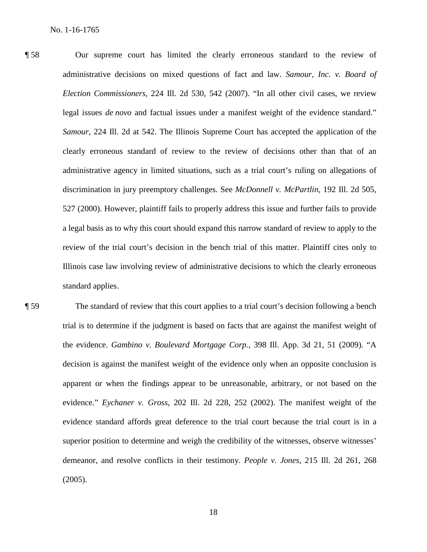¶ 58 Our supreme court has limited the clearly erroneous standard to the review of administrative decisions on mixed questions of fact and law. *Samour, Inc. v. Board of Election Commissioners*, 224 Ill. 2d 530, 542 (2007). "In all other civil cases, we review legal issues *de novo* and factual issues under a manifest weight of the evidence standard." *Samour*, 224 Ill. 2d at 542. The Illinois Supreme Court has accepted the application of the clearly erroneous standard of review to the review of decisions other than that of an administrative agency in limited situations, such as a trial court's ruling on allegations of discrimination in jury preemptory challenges. See *McDonnell v. McPartlin*, 192 Ill. 2d 505, 527 (2000). However, plaintiff fails to properly address this issue and further fails to provide a legal basis as to why this court should expand this narrow standard of review to apply to the review of the trial court's decision in the bench trial of this matter. Plaintiff cites only to Illinois case law involving review of administrative decisions to which the clearly erroneous standard applies.

¶ 59 The standard of review that this court applies to a trial court's decision following a bench trial is to determine if the judgment is based on facts that are against the manifest weight of the evidence. *Gambino v. Boulevard Mortgage Corp.*, 398 Ill. App. 3d 21, 51 (2009). "A decision is against the manifest weight of the evidence only when an opposite conclusion is apparent or when the findings appear to be unreasonable, arbitrary, or not based on the evidence." *Eychaner v. Gross*, 202 Ill. 2d 228, 252 (2002). The manifest weight of the evidence standard affords great deference to the trial court because the trial court is in a superior position to determine and weigh the credibility of the witnesses, observe witnesses' demeanor, and resolve conflicts in their testimony. *People v. Jones*, 215 Ill. 2d 261, 268 (2005).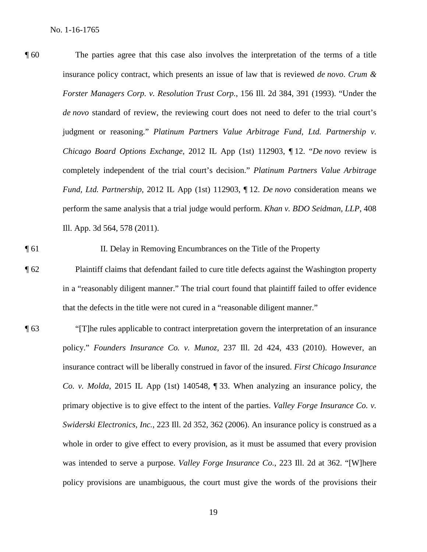¶ 60 The parties agree that this case also involves the interpretation of the terms of a title insurance policy contract, which presents an issue of law that is reviewed *de novo*. *Crum & Forster Managers Corp. v. Resolution Trust Corp.*, 156 Ill. 2d 384, 391 (1993). "Under the *de novo* standard of review, the reviewing court does not need to defer to the trial court's judgment or reasoning." *Platinum Partners Value Arbitrage Fund, Ltd. Partnership v. Chicago Board Options Exchange*, 2012 IL App (1st) 112903, ¶ 12. "*De novo* review is completely independent of the trial court's decision." *Platinum Partners Value Arbitrage Fund, Ltd. Partnership*, 2012 IL App (1st) 112903, ¶ 12. *De novo* consideration means we perform the same analysis that a trial judge would perform. *Khan v. BDO Seidman, LLP*, 408 Ill. App. 3d 564, 578 (2011).

¶ 61 II. Delay in Removing Encumbrances on the Title of the Property

- ¶ 62 Plaintiff claims that defendant failed to cure title defects against the Washington property in a "reasonably diligent manner." The trial court found that plaintiff failed to offer evidence that the defects in the title were not cured in a "reasonable diligent manner."
- ¶ 63 "[T]he rules applicable to contract interpretation govern the interpretation of an insurance policy." *Founders Insurance Co. v. Munoz*, 237 Ill. 2d 424, 433 (2010). However, an insurance contract will be liberally construed in favor of the insured. *First Chicago Insurance Co. v. Molda*, 2015 IL App (1st) 140548, ¶ 33. When analyzing an insurance policy, the primary objective is to give effect to the intent of the parties. *Valley Forge Insurance Co. v. Swiderski Electronics, Inc.*, 223 Ill. 2d 352, 362 (2006). An insurance policy is construed as a whole in order to give effect to every provision, as it must be assumed that every provision was intended to serve a purpose. *Valley Forge Insurance Co.*, 223 Ill. 2d at 362. "[W]here policy provisions are unambiguous, the court must give the words of the provisions their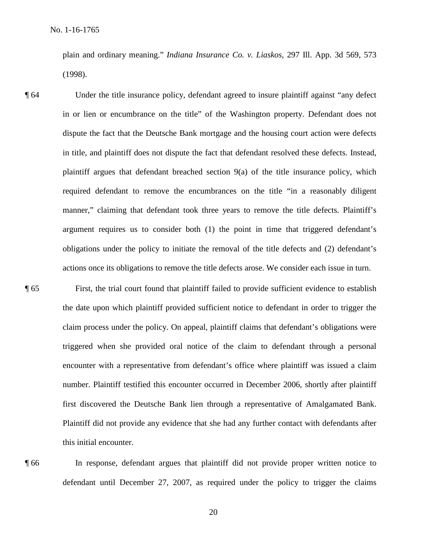plain and ordinary meaning." *Indiana Insurance Co. v. Liaskos*, 297 Ill. App. 3d 569, 573 (1998).

¶ 64 Under the title insurance policy, defendant agreed to insure plaintiff against "any defect in or lien or encumbrance on the title" of the Washington property. Defendant does not dispute the fact that the Deutsche Bank mortgage and the housing court action were defects in title, and plaintiff does not dispute the fact that defendant resolved these defects. Instead, plaintiff argues that defendant breached section 9(a) of the title insurance policy, which required defendant to remove the encumbrances on the title "in a reasonably diligent manner," claiming that defendant took three years to remove the title defects. Plaintiff's argument requires us to consider both (1) the point in time that triggered defendant's obligations under the policy to initiate the removal of the title defects and (2) defendant's actions once its obligations to remove the title defects arose. We consider each issue in turn.

¶ 65 First, the trial court found that plaintiff failed to provide sufficient evidence to establish the date upon which plaintiff provided sufficient notice to defendant in order to trigger the claim process under the policy. On appeal, plaintiff claims that defendant's obligations were triggered when she provided oral notice of the claim to defendant through a personal encounter with a representative from defendant's office where plaintiff was issued a claim number. Plaintiff testified this encounter occurred in December 2006, shortly after plaintiff first discovered the Deutsche Bank lien through a representative of Amalgamated Bank. Plaintiff did not provide any evidence that she had any further contact with defendants after this initial encounter.

¶ 66 In response, defendant argues that plaintiff did not provide proper written notice to defendant until December 27, 2007, as required under the policy to trigger the claims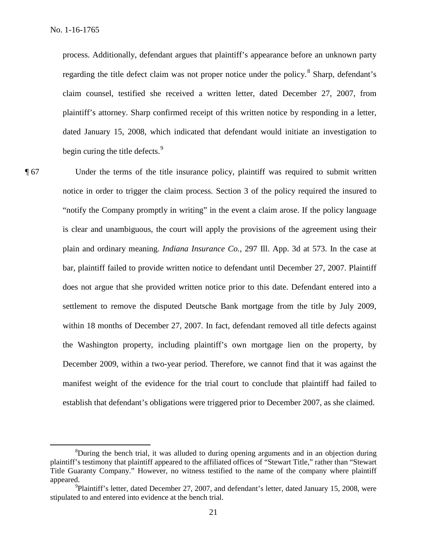process. Additionally, defendant argues that plaintiff's appearance before an unknown party regarding the title defect claim was not proper notice under the policy.<sup>8</sup> Sharp, defendant's claim counsel, testified she received a written letter, dated December 27, 2007, from plaintiff's attorney. Sharp confirmed receipt of this written notice by responding in a letter, dated January 15, 2008, which indicated that defendant would initiate an investigation to begin curing the title defects.<sup>9</sup>

¶ 67 Under the terms of the title insurance policy, plaintiff was required to submit written notice in order to trigger the claim process. Section 3 of the policy required the insured to "notify the Company promptly in writing" in the event a claim arose. If the policy language is clear and unambiguous, the court will apply the provisions of the agreement using their plain and ordinary meaning. *Indiana Insurance Co.*, 297 Ill. App. 3d at 573. In the case at bar, plaintiff failed to provide written notice to defendant until December 27, 2007. Plaintiff does not argue that she provided written notice prior to this date. Defendant entered into a settlement to remove the disputed Deutsche Bank mortgage from the title by July 2009, within 18 months of December 27, 2007. In fact, defendant removed all title defects against the Washington property, including plaintiff's own mortgage lien on the property, by December 2009, within a two-year period. Therefore, we cannot find that it was against the manifest weight of the evidence for the trial court to conclude that plaintiff had failed to establish that defendant's obligations were triggered prior to December 2007, as she claimed.

 <sup>8</sup>  ${}^8$ During the bench trial, it was alluded to during opening arguments and in an objection during plaintiff's testimony that plaintiff appeared to the affiliated offices of "Stewart Title," rather than "Stewart Title Guaranty Company." However, no witness testified to the name of the company where plaintiff appeared.

<sup>&</sup>lt;sup>9</sup>Plaintiff's letter, dated December 27, 2007, and defendant's letter, dated January 15, 2008, were stipulated to and entered into evidence at the bench trial.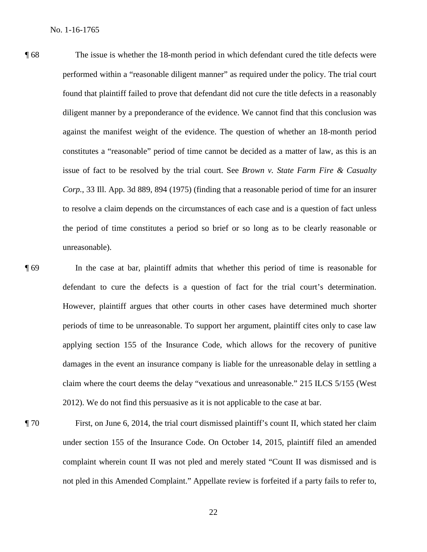- ¶ 68 The issue is whether the 18-month period in which defendant cured the title defects were performed within a "reasonable diligent manner" as required under the policy. The trial court found that plaintiff failed to prove that defendant did not cure the title defects in a reasonably diligent manner by a preponderance of the evidence. We cannot find that this conclusion was against the manifest weight of the evidence. The question of whether an 18-month period constitutes a "reasonable" period of time cannot be decided as a matter of law, as this is an issue of fact to be resolved by the trial court. See *Brown v. State Farm Fire & Casualty Corp.*, 33 Ill. App. 3d 889, 894 (1975) (finding that a reasonable period of time for an insurer to resolve a claim depends on the circumstances of each case and is a question of fact unless the period of time constitutes a period so brief or so long as to be clearly reasonable or unreasonable).
- ¶ 69 In the case at bar, plaintiff admits that whether this period of time is reasonable for defendant to cure the defects is a question of fact for the trial court's determination. However, plaintiff argues that other courts in other cases have determined much shorter periods of time to be unreasonable. To support her argument, plaintiff cites only to case law applying section 155 of the Insurance Code, which allows for the recovery of punitive damages in the event an insurance company is liable for the unreasonable delay in settling a claim where the court deems the delay "vexatious and unreasonable." 215 ILCS 5/155 (West 2012). We do not find this persuasive as it is not applicable to the case at bar.
- ¶ 70 First, on June 6, 2014, the trial court dismissed plaintiff's count II, which stated her claim under section 155 of the Insurance Code. On October 14, 2015, plaintiff filed an amended complaint wherein count II was not pled and merely stated "Count II was dismissed and is not pled in this Amended Complaint." Appellate review is forfeited if a party fails to refer to,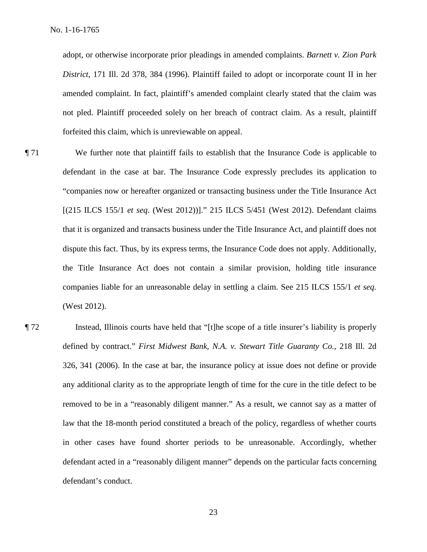adopt, or otherwise incorporate prior pleadings in amended complaints. *Barnett v. Zion Park District*, 171 Ill. 2d 378, 384 (1996). Plaintiff failed to adopt or incorporate count II in her amended complaint. In fact, plaintiff's amended complaint clearly stated that the claim was not pled. Plaintiff proceeded solely on her breach of contract claim. As a result, plaintiff forfeited this claim, which is unreviewable on appeal.

- ¶ 71 We further note that plaintiff fails to establish that the Insurance Code is applicable to defendant in the case at bar. The Insurance Code expressly precludes its application to "companies now or hereafter organized or transacting business under the Title Insurance Act [(215 ILCS 155/1 *et seq.* (West 2012))]." 215 ILCS 5/451 (West 2012). Defendant claims that it is organized and transacts business under the Title Insurance Act, and plaintiff does not dispute this fact. Thus, by its express terms, the Insurance Code does not apply. Additionally, the Title Insurance Act does not contain a similar provision, holding title insurance companies liable for an unreasonable delay in settling a claim. See 215 ILCS 155/1 *et seq.* (West 2012).
- ¶ 72 Instead, Illinois courts have held that "[t]he scope of a title insurer's liability is properly defined by contract." *First Midwest Bank, N.A. v. Stewart Title Guaranty Co.*, 218 Ill. 2d 326, 341 (2006). In the case at bar, the insurance policy at issue does not define or provide any additional clarity as to the appropriate length of time for the cure in the title defect to be removed to be in a "reasonably diligent manner." As a result, we cannot say as a matter of law that the 18-month period constituted a breach of the policy, regardless of whether courts in other cases have found shorter periods to be unreasonable. Accordingly, whether defendant acted in a "reasonably diligent manner" depends on the particular facts concerning defendant's conduct.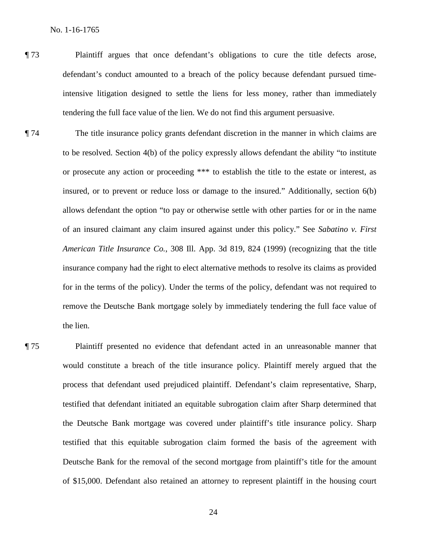- ¶ 73 Plaintiff argues that once defendant's obligations to cure the title defects arose, defendant's conduct amounted to a breach of the policy because defendant pursued timeintensive litigation designed to settle the liens for less money, rather than immediately tendering the full face value of the lien. We do not find this argument persuasive.
- ¶ 74 The title insurance policy grants defendant discretion in the manner in which claims are to be resolved. Section 4(b) of the policy expressly allows defendant the ability "to institute or prosecute any action or proceeding \*\*\* to establish the title to the estate or interest, as insured, or to prevent or reduce loss or damage to the insured." Additionally, section 6(b) allows defendant the option "to pay or otherwise settle with other parties for or in the name of an insured claimant any claim insured against under this policy." See *Sabatino v. First American Title Insurance Co.*, 308 Ill. App. 3d 819, 824 (1999) (recognizing that the title insurance company had the right to elect alternative methods to resolve its claims as provided for in the terms of the policy). Under the terms of the policy, defendant was not required to remove the Deutsche Bank mortgage solely by immediately tendering the full face value of the lien.
- ¶ 75 Plaintiff presented no evidence that defendant acted in an unreasonable manner that would constitute a breach of the title insurance policy. Plaintiff merely argued that the process that defendant used prejudiced plaintiff. Defendant's claim representative, Sharp, testified that defendant initiated an equitable subrogation claim after Sharp determined that the Deutsche Bank mortgage was covered under plaintiff's title insurance policy. Sharp testified that this equitable subrogation claim formed the basis of the agreement with Deutsche Bank for the removal of the second mortgage from plaintiff's title for the amount of \$15,000. Defendant also retained an attorney to represent plaintiff in the housing court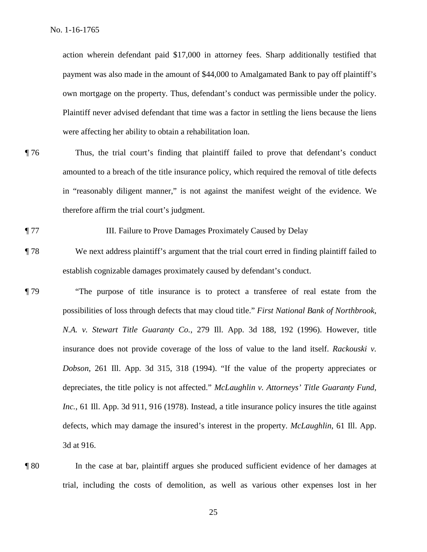action wherein defendant paid \$17,000 in attorney fees. Sharp additionally testified that payment was also made in the amount of \$44,000 to Amalgamated Bank to pay off plaintiff's own mortgage on the property. Thus, defendant's conduct was permissible under the policy. Plaintiff never advised defendant that time was a factor in settling the liens because the liens were affecting her ability to obtain a rehabilitation loan.

¶ 76 Thus, the trial court's finding that plaintiff failed to prove that defendant's conduct amounted to a breach of the title insurance policy, which required the removal of title defects in "reasonably diligent manner," is not against the manifest weight of the evidence. We therefore affirm the trial court's judgment.

## ¶ 77 III. Failure to Prove Damages Proximately Caused by Delay

- ¶ 78 We next address plaintiff's argument that the trial court erred in finding plaintiff failed to establish cognizable damages proximately caused by defendant's conduct.
- ¶ 79 "The purpose of title insurance is to protect a transferee of real estate from the possibilities of loss through defects that may cloud title." *First National Bank of Northbrook, N.A. v. Stewart Title Guaranty Co.*, 279 Ill. App. 3d 188, 192 (1996). However, title insurance does not provide coverage of the loss of value to the land itself. *Rackouski v. Dobson*, 261 Ill. App. 3d 315, 318 (1994). "If the value of the property appreciates or depreciates, the title policy is not affected." *McLaughlin v. Attorneys' Title Guaranty Fund, Inc.*, 61 Ill. App. 3d 911, 916 (1978). Instead, a title insurance policy insures the title against defects, which may damage the insured's interest in the property. *McLaughlin*, 61 Ill. App. 3d at 916.
- 

¶ 80 In the case at bar, plaintiff argues she produced sufficient evidence of her damages at trial, including the costs of demolition, as well as various other expenses lost in her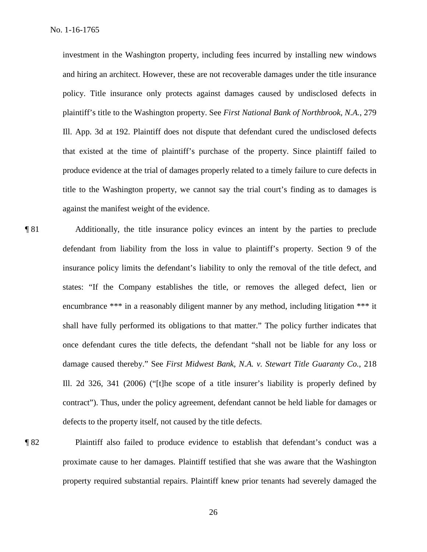investment in the Washington property, including fees incurred by installing new windows and hiring an architect. However, these are not recoverable damages under the title insurance policy. Title insurance only protects against damages caused by undisclosed defects in plaintiff's title to the Washington property. See *First National Bank of Northbrook, N.A.*, 279 Ill. App. 3d at 192. Plaintiff does not dispute that defendant cured the undisclosed defects that existed at the time of plaintiff's purchase of the property. Since plaintiff failed to produce evidence at the trial of damages properly related to a timely failure to cure defects in title to the Washington property, we cannot say the trial court's finding as to damages is against the manifest weight of the evidence.

- ¶ 81 Additionally, the title insurance policy evinces an intent by the parties to preclude defendant from liability from the loss in value to plaintiff's property. Section 9 of the insurance policy limits the defendant's liability to only the removal of the title defect, and states: "If the Company establishes the title, or removes the alleged defect, lien or encumbrance \*\*\* in a reasonably diligent manner by any method, including litigation \*\*\* it shall have fully performed its obligations to that matter." The policy further indicates that once defendant cures the title defects, the defendant "shall not be liable for any loss or damage caused thereby." See *First Midwest Bank, N.A. v. Stewart Title Guaranty Co.*, 218 Ill. 2d 326, 341 (2006) ("[t]he scope of a title insurer's liability is properly defined by contract"). Thus, under the policy agreement, defendant cannot be held liable for damages or defects to the property itself, not caused by the title defects.
- 

¶ 82 Plaintiff also failed to produce evidence to establish that defendant's conduct was a proximate cause to her damages. Plaintiff testified that she was aware that the Washington property required substantial repairs. Plaintiff knew prior tenants had severely damaged the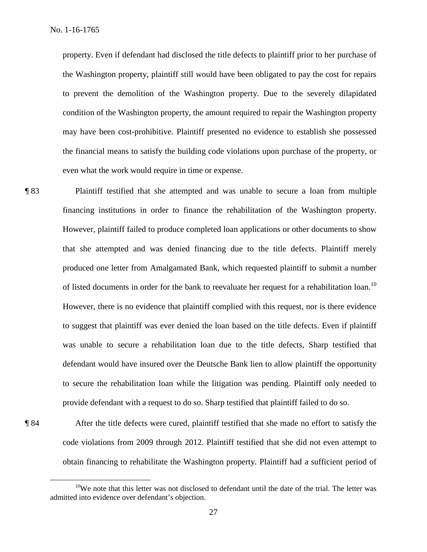property. Even if defendant had disclosed the title defects to plaintiff prior to her purchase of the Washington property, plaintiff still would have been obligated to pay the cost for repairs to prevent the demolition of the Washington property. Due to the severely dilapidated condition of the Washington property, the amount required to repair the Washington property may have been cost-prohibitive. Plaintiff presented no evidence to establish she possessed the financial means to satisfy the building code violations upon purchase of the property, or even what the work would require in time or expense.

¶ 83 Plaintiff testified that she attempted and was unable to secure a loan from multiple financing institutions in order to finance the rehabilitation of the Washington property. However, plaintiff failed to produce completed loan applications or other documents to show that she attempted and was denied financing due to the title defects. Plaintiff merely produced one letter from Amalgamated Bank, which requested plaintiff to submit a number of listed documents in order for the bank to reevaluate her request for a rehabilitation loan.<sup>10</sup> However, there is no evidence that plaintiff complied with this request, nor is there evidence to suggest that plaintiff was ever denied the loan based on the title defects. Even if plaintiff was unable to secure a rehabilitation loan due to the title defects, Sharp testified that defendant would have insured over the Deutsche Bank lien to allow plaintiff the opportunity to secure the rehabilitation loan while the litigation was pending. Plaintiff only needed to provide defendant with a request to do so. Sharp testified that plaintiff failed to do so.

¶ 84 After the title defects were cured, plaintiff testified that she made no effort to satisfy the code violations from 2009 through 2012. Plaintiff testified that she did not even attempt to obtain financing to rehabilitate the Washington property. Plaintiff had a sufficient period of

<sup>&</sup>lt;sup>10</sup>We note that this letter was not disclosed to defendant until the date of the trial. The letter was admitted into evidence over defendant's objection.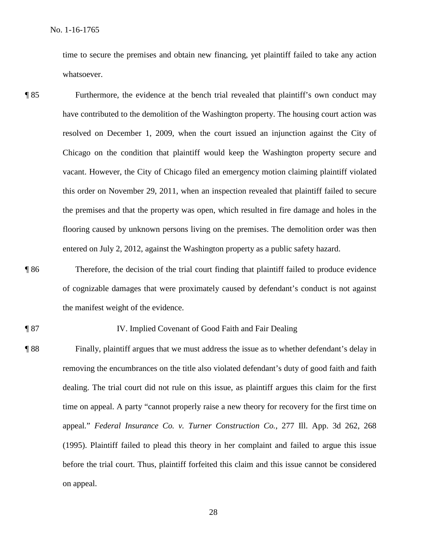time to secure the premises and obtain new financing, yet plaintiff failed to take any action whatsoever.

- ¶ 85 Furthermore, the evidence at the bench trial revealed that plaintiff's own conduct may have contributed to the demolition of the Washington property. The housing court action was resolved on December 1, 2009, when the court issued an injunction against the City of Chicago on the condition that plaintiff would keep the Washington property secure and vacant. However, the City of Chicago filed an emergency motion claiming plaintiff violated this order on November 29, 2011, when an inspection revealed that plaintiff failed to secure the premises and that the property was open, which resulted in fire damage and holes in the flooring caused by unknown persons living on the premises. The demolition order was then entered on July 2, 2012, against the Washington property as a public safety hazard.
- ¶ 86 Therefore, the decision of the trial court finding that plaintiff failed to produce evidence of cognizable damages that were proximately caused by defendant's conduct is not against the manifest weight of the evidence.

#### ¶ 87 IV. Implied Covenant of Good Faith and Fair Dealing

¶ 88 Finally, plaintiff argues that we must address the issue as to whether defendant's delay in removing the encumbrances on the title also violated defendant's duty of good faith and faith dealing. The trial court did not rule on this issue, as plaintiff argues this claim for the first time on appeal. A party "cannot properly raise a new theory for recovery for the first time on appeal*.*" *Federal Insurance Co. v. Turner Construction Co.*, 277 Ill. App. 3d 262, 268 (1995). Plaintiff failed to plead this theory in her complaint and failed to argue this issue before the trial court. Thus, plaintiff forfeited this claim and this issue cannot be considered on appeal.